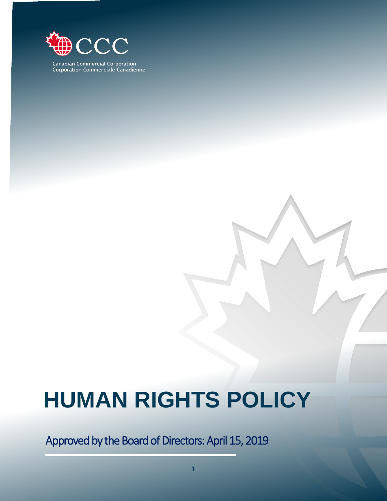

**Canadian Commercial Corporation<br>Corporation Commerciale Canadienne** 

# **HUMAN RIGHTS POLICY**

Approved by the Board of Directors: April 15, 2019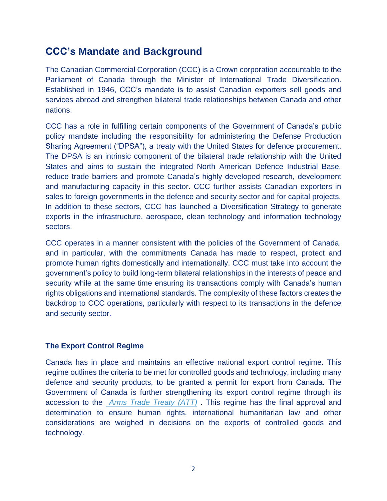# **CCC's Mandate and Background**

The Canadian Commercial Corporation (CCC) is a Crown corporation accountable to the Parliament of Canada through the Minister of International Trade Diversification. Established in 1946, CCC's mandate is to assist Canadian exporters sell goods and services abroad and strengthen bilateral trade relationships between Canada and other nations.

CCC has a role in fulfilling certain components of the Government of Canada's public policy mandate including the responsibility for administering the Defense Production Sharing Agreement ("DPSA"), a treaty with the United States for defence procurement. The DPSA is an intrinsic component of the bilateral trade relationship with the United States and aims to sustain the integrated North American Defence Industrial Base, reduce trade barriers and promote Canada's highly developed research, development and manufacturing capacity in this sector. CCC further assists Canadian exporters in sales to foreign governments in the defence and security sector and for capital projects. In addition to these sectors, CCC has launched a Diversification Strategy to generate exports in the infrastructure, aerospace, clean technology and information technology sectors.

CCC operates in a manner consistent with the policies of the Government of Canada, and in particular, with the commitments Canada has made to respect, protect and promote human rights domestically and internationally. CCC must take into account the government's policy to build long-term bilateral relationships in the interests of peace and security while at the same time ensuring its transactions comply with Canada's human rights obligations and international standards. The complexity of these factors creates the backdrop to CCC operations, particularly with respect to its transactions in the defence and security sector.

# **The Export Control Regime**

Canada has in place and maintains an effective national export control regime. This regime outlines the criteria to be met for controlled goods and technology, including many defence and security products, to be granted a permit for export from Canada. The Government of Canada is further strengthening its export control regime through its accession to the *[Arms Trade Treaty](https://unoda-web.s3-accelerate.amazonaws.com/wp-content/uploads/2013/06/English7.pdf) (ATT)* . This regime has the final approval and determination to ensure human rights, international humanitarian law and other considerations are weighed in decisions on the exports of controlled goods and technology.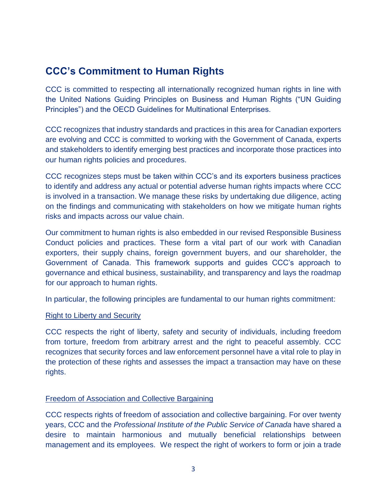# **CCC's Commitment to Human Rights**

CCC is committed to respecting all internationally recognized human rights in line with the United Nations Guiding Principles on Business and Human Rights ("UN Guiding Principles") and the OECD Guidelines for Multinational Enterprises.

CCC recognizes that industry standards and practices in this area for Canadian exporters are evolving and CCC is committed to working with the Government of Canada, experts and stakeholders to identify emerging best practices and incorporate those practices into our human rights policies and procedures.

CCC recognizes steps must be taken within CCC's and its exporters business practices to identify and address any actual or potential adverse human rights impacts where CCC is involved in a transaction. We manage these risks by undertaking due diligence, acting on the findings and communicating with stakeholders on how we mitigate human rights risks and impacts across our value chain.

Our commitment to human rights is also embedded in our revised Responsible Business Conduct policies and practices. These form a vital part of our work with Canadian exporters, their supply chains, foreign government buyers, and our shareholder, the Government of Canada. This framework supports and guides CCC's approach to governance and ethical business, sustainability, and transparency and lays the roadmap for our approach to human rights.

In particular, the following principles are fundamental to our human rights commitment:

#### **Right to Liberty and Security**

CCC respects the right of liberty, safety and security of individuals, including freedom from torture, freedom from arbitrary arrest and the right to peaceful assembly. CCC recognizes that security forces and law enforcement personnel have a vital role to play in the protection of these rights and assesses the impact a transaction may have on these rights.

## Freedom of Association and Collective Bargaining

CCC respects rights of freedom of association and collective bargaining. For over twenty years, CCC and the *Professional Institute of the Public Service of Canada* have shared a desire to maintain harmonious and mutually beneficial relationships between management and its employees. We respect the right of workers to form or join a trade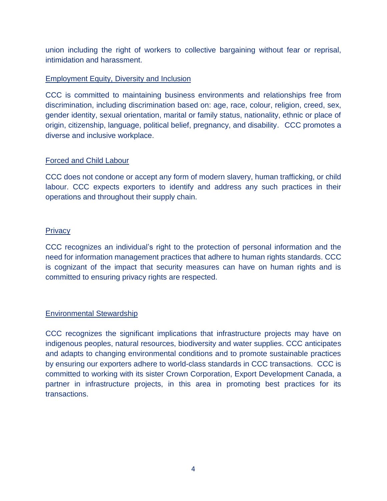union including the right of workers to collective bargaining without fear or reprisal, intimidation and harassment.

## Employment Equity, Diversity and Inclusion

CCC is committed to maintaining business environments and relationships free from discrimination, including discrimination based on: age, race, colour, religion, creed, sex, gender identity, sexual orientation, marital or family status, nationality, ethnic or place of origin, citizenship, language, political belief, pregnancy, and disability.CCC promotes a diverse and inclusive workplace.

## Forced and Child Labour

CCC does not condone or accept any form of modern slavery, human trafficking, or child labour. CCC expects exporters to identify and address any such practices in their operations and throughout their supply chain.

## **Privacy**

CCC recognizes an individual's right to the protection of personal information and the need for information management practices that adhere to human rights standards. CCC is cognizant of the impact that security measures can have on human rights and is committed to ensuring privacy rights are respected.

# Environmental Stewardship

CCC recognizes the significant implications that infrastructure projects may have on indigenous peoples, natural resources, biodiversity and water supplies. CCC anticipates and adapts to changing environmental conditions and to promote sustainable practices by ensuring our exporters adhere to world-class standards in CCC transactions. CCC is committed to working with its sister Crown Corporation, Export Development Canada, a partner in infrastructure projects, in this area in promoting best practices for its transactions.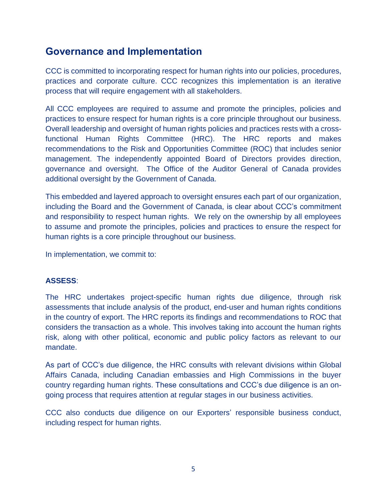# **Governance and Implementation**

CCC is committed to incorporating respect for human rights into our policies, procedures, practices and corporate culture. CCC recognizes this implementation is an iterative process that will require engagement with all stakeholders.

All CCC employees are required to assume and promote the principles, policies and practices to ensure respect for human rights is a core principle throughout our business. Overall leadership and oversight of human rights policies and practices rests with a crossfunctional Human Rights Committee (HRC). The HRC reports and makes recommendations to the Risk and Opportunities Committee (ROC) that includes senior management. The independently appointed Board of Directors provides direction, governance and oversight. The Office of the Auditor General of Canada provides additional oversight by the Government of Canada.

This embedded and layered approach to oversight ensures each part of our organization, including the Board and the Government of Canada, is clear about CCC's commitment and responsibility to respect human rights. We rely on the ownership by all employees to assume and promote the principles, policies and practices to ensure the respect for human rights is a core principle throughout our business.

In implementation, we commit to:

# **ASSESS**:

The HRC undertakes project-specific human rights due diligence, through risk assessments that include analysis of the product, end-user and human rights conditions in the country of export. The HRC reports its findings and recommendations to ROC that considers the transaction as a whole. This involves taking into account the human rights risk, along with other political, economic and public policy factors as relevant to our mandate.

As part of CCC's due diligence, the HRC consults with relevant divisions within Global Affairs Canada, including Canadian embassies and High Commissions in the buyer country regarding human rights. These consultations and CCC's due diligence is an ongoing process that requires attention at regular stages in our business activities.

CCC also conducts due diligence on our Exporters' responsible business conduct, including respect for human rights.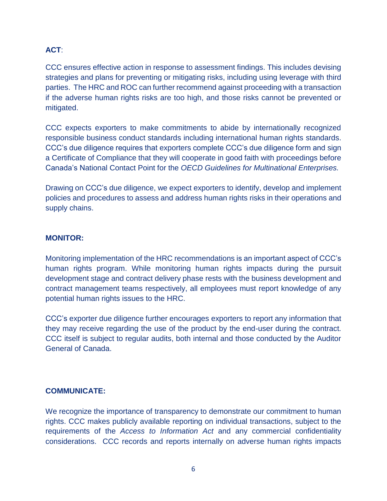# **ACT**:

CCC ensures effective action in response to assessment findings. This includes devising strategies and plans for preventing or mitigating risks, including using leverage with third parties. The HRC and ROC can further recommend against proceeding with a transaction if the adverse human rights risks are too high, and those risks cannot be prevented or mitigated.

CCC expects exporters to make commitments to abide by internationally recognized responsible business conduct standards including international human rights standards. CCC's due diligence requires that exporters complete CCC's due diligence form and sign a Certificate of Compliance that they will cooperate in good faith with proceedings before Canada's National Contact Point for the *OECD Guidelines for Multinational Enterprises.*

Drawing on CCC's due diligence, we expect exporters to identify, develop and implement policies and procedures to assess and address human rights risks in their operations and supply chains.

#### **MONITOR:**

Monitoring implementation of the HRC recommendations is an important aspect of CCC's human rights program. While monitoring human rights impacts during the pursuit development stage and contract delivery phase rests with the business development and contract management teams respectively, all employees must report knowledge of any potential human rights issues to the HRC.

CCC's exporter due diligence further encourages exporters to report any information that they may receive regarding the use of the product by the end-user during the contract. CCC itself is subject to regular audits, both internal and those conducted by the Auditor General of Canada.

## **COMMUNICATE:**

We recognize the importance of transparency to demonstrate our commitment to human rights. CCC makes publicly available reporting on individual transactions, subject to the requirements of the *Access to Information Act* and any commercial confidentiality considerations. CCC records and reports internally on adverse human rights impacts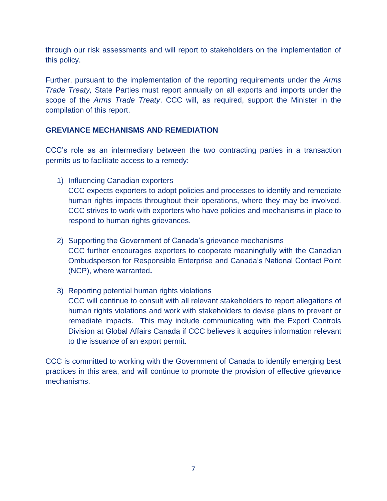through our risk assessments and will report to stakeholders on the implementation of this policy.

Further, pursuant to the implementation of the reporting requirements under the *Arms Trade Treaty,* State Parties must report annually on all exports and imports under the scope of the *Arms Trade Treaty*. CCC will, as required, support the Minister in the compilation of this report.

# **GREVIANCE MECHANISMS AND REMEDIATION**

CCC's role as an intermediary between the two contracting parties in a transaction permits us to facilitate access to a remedy:

1) Influencing Canadian exporters

CCC expects exporters to adopt policies and processes to identify and remediate human rights impacts throughout their operations, where they may be involved. CCC strives to work with exporters who have policies and mechanisms in place to respond to human rights grievances.

- 2) Supporting the Government of Canada's grievance mechanisms CCC further encourages exporters to cooperate meaningfully with the Canadian Ombudsperson for Responsible Enterprise and Canada's National Contact Point (NCP), where warranted**.**
- 3) Reporting potential human rights violations CCC will continue to consult with all relevant stakeholders to report allegations of human rights violations and work with stakeholders to devise plans to prevent or remediate impacts. This may include communicating with the Export Controls Division at Global Affairs Canada if CCC believes it acquires information relevant to the issuance of an export permit.

CCC is committed to working with the Government of Canada to identify emerging best practices in this area, and will continue to promote the provision of effective grievance mechanisms.